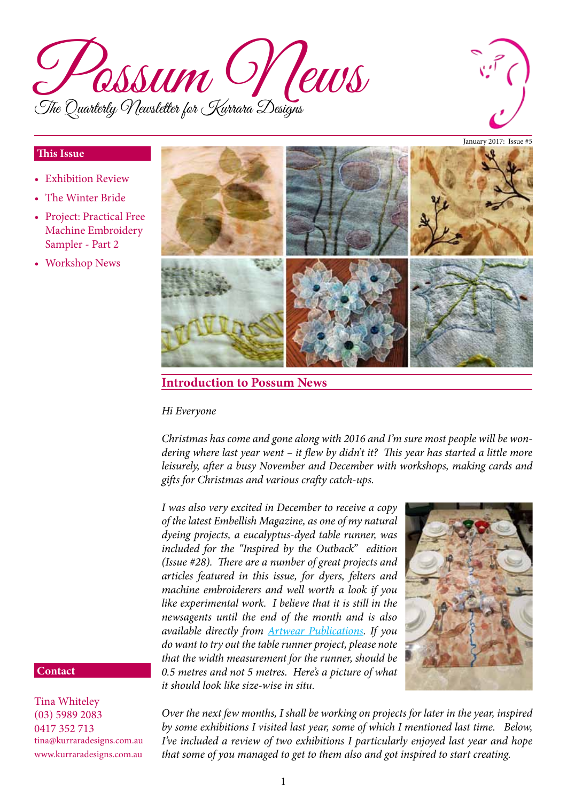



#### January 2017: Issue #5

### **This Issue**

- **Exhibition Review**
- The Winter Bride
- Project: Practical Free Machine Embroidery Sampler - Part 2
- Workshop News



## **Introduction to Possum News**

#### *Hi Everyone*

*Christmas has come and gone along with 2016 and I'm sure most people will be wondering where last year went – it flew by didn't it? This year has started a little more leisurely, after a busy November and December with workshops, making cards and gifts for Christmas and various crafty catch-ups.* 

*I was also very excited in December to receive a copy of the latest Embellish Magazine, as one of my natural dyeing projects, a eucalyptus-dyed table runner, was included for the "Inspired by the Outback" edition (Issue #28). There are a number of great projects and articles featured in this issue, for dyers, felters and machine embroiderers and well worth a look if you like experimental work. I believe that it is still in the newsagents until the end of the month and is also available directly from [Artwear Publications.](http://artwearpublications.com.au/magazines/single-issues/embellish-magazine.html) If you do want to try out the table runner project, please note that the width measurement for the runner, should be 0.5 metres and not 5 metres. Here's a picture of what it should look like size-wise in situ.*



#### **Contact**

Tina Whiteley (03) 5989 2083 0417 352 713 tina@kurraradesigns.com.au www.kurraradesigns.com.au

*Over the next few months, I shall be working on projects for later in the year, inspired by some exhibitions I visited last year, some of which I mentioned last time. Below, I've included a review of two exhibitions I particularly enjoyed last year and hope that some of you managed to get to them also and got inspired to start creating.*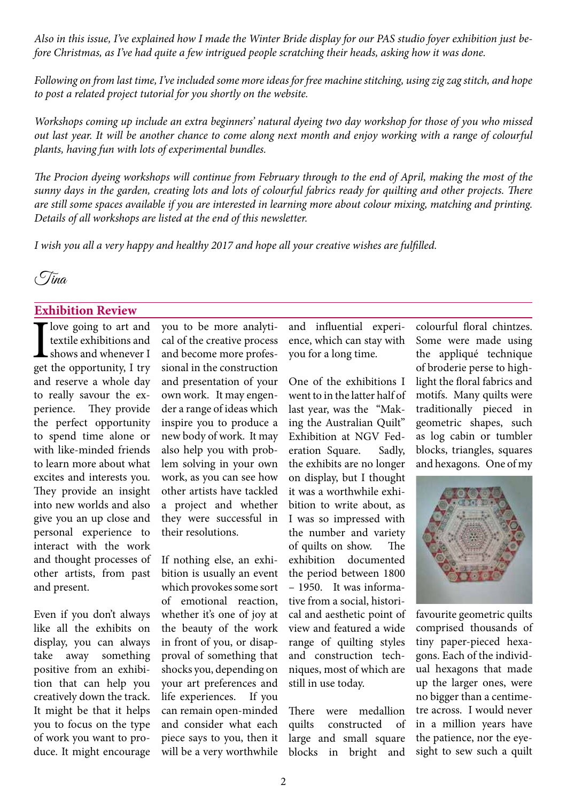*Also in this issue, I've explained how I made the Winter Bride display for our PAS studio foyer exhibition just before Christmas, as I've had quite a few intrigued people scratching their heads, asking how it was done.*

*Following on from last time, I've included some more ideas for free machine stitching, using zig zag stitch, and hope to post a related project tutorial for you shortly on the website.*

*Workshops coming up include an extra beginners' natural dyeing two day workshop for those of you who missed out last year. It will be another chance to come along next month and enjoy working with a range of colourful plants, having fun with lots of experimental bundles.* 

*The Procion dyeing workshops will continue from February through to the end of April, making the most of the sunny days in the garden, creating lots and lots of colourful fabrics ready for quilting and other projects. There are still some spaces available if you are interested in learning more about colour mixing, matching and printing. Details of all workshops are listed at the end of this newsletter.*

*I wish you all a very happy and healthy 2017 and hope all your creative wishes are fulfilled.*



### **Exhibition Review**

I love going to art and<br>textile exhibitions and<br>shows and whenever I<br>get the opportunity, I try textile exhibitions and shows and whenever I get the opportunity, I try and reserve a whole day to really savour the experience. They provide the perfect opportunity to spend time alone or with like-minded friends to learn more about what excites and interests you. They provide an insight into new worlds and also give you an up close and personal experience to interact with the work and thought processes of other artists, from past and present.

Even if you don't always like all the exhibits on display, you can always take away something positive from an exhibition that can help you creatively down the track. It might be that it helps you to focus on the type of work you want to produce. It might encourage

you to be more analytical of the creative process and become more professional in the construction and presentation of your own work. It may engender a range of ideas which inspire you to produce a new body of work. It may also help you with problem solving in your own work, as you can see how other artists have tackled a project and whether they were successful in their resolutions.

If nothing else, an exhibition is usually an event which provokes some sort of emotional reaction, whether it's one of joy at the beauty of the work in front of you, or disapproval of something that shocks you, depending on your art preferences and life experiences. If you can remain open-minded and consider what each piece says to you, then it will be a very worthwhile and influential experience, which can stay with you for a long time.

One of the exhibitions I went to in the latter half of last year, was the "Making the Australian Quilt" Exhibition at NGV Federation Square. Sadly, the exhibits are no longer on display, but I thought it was a worthwhile exhibition to write about, as I was so impressed with the number and variety of quilts on show. The exhibition documented the period between 1800 – 1950. It was informative from a social, historical and aesthetic point of view and featured a wide range of quilting styles and construction techniques, most of which are still in use today.

There were medallion quilts constructed of large and small square blocks in bright and

colourful floral chintzes. Some were made using the appliqué technique of broderie perse to highlight the floral fabrics and motifs. Many quilts were traditionally pieced in geometric shapes, such as log cabin or tumbler blocks, triangles, squares and hexagons. One of my



favourite geometric quilts comprised thousands of tiny paper-pieced hexagons. Each of the individual hexagons that made up the larger ones, were no bigger than a centimetre across. I would never in a million years have the patience, nor the eyesight to sew such a quilt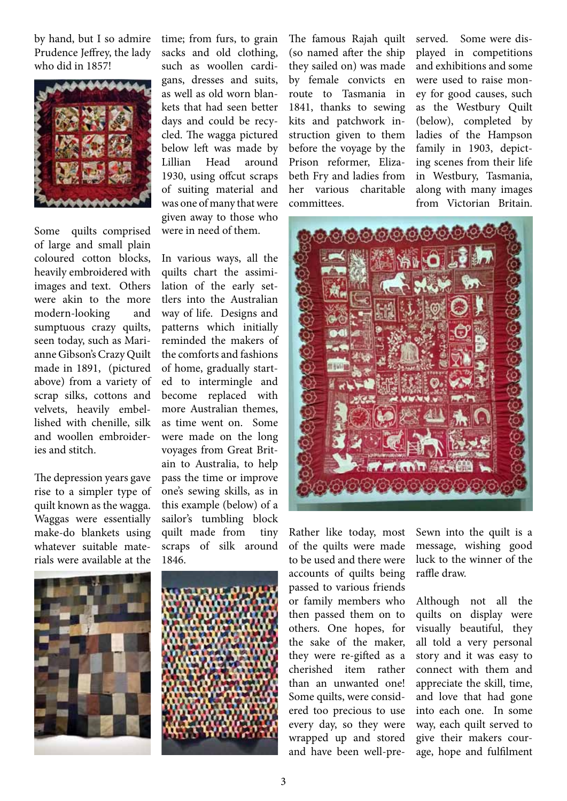by hand, but I so admire Prudence Jeffrey, the lady who did in 1857!



Some quilts comprised of large and small plain coloured cotton blocks, heavily embroidered with images and text. Others were akin to the more modern-looking and sumptuous crazy quilts, seen today, such as Marianne Gibson'sCrazy Quilt made in 1891, (pictured above) from a variety of scrap silks, cottons and velvets, heavily embellished with chenille, silk and woollen embroideries and stitch.

The depression years gave rise to a simpler type of quilt known as the wagga. Waggas were essentially make-do blankets using whatever suitable materials were available at the

time; from furs, to grain sacks and old clothing, such as woollen cardigans, dresses and suits, as well as old worn blankets that had seen better days and could be recycled. The wagga pictured below left was made by Lillian Head around 1930, using offcut scraps of suiting material and was one of many that were given away to those who were in need of them.

In various ways, all the quilts chart the assimilation of the early settlers into the Australian way of life. Designs and patterns which initially reminded the makers of the comforts and fashions of home, gradually started to intermingle and become replaced with more Australian themes, as time went on. Some were made on the long voyages from Great Britain to Australia, to help pass the time or improve one's sewing skills, as in this example (below) of a sailor's tumbling block quilt made from tiny scraps of silk around 1846.





The famous Rajah quilt (so named after the ship they sailed on) was made by female convicts en route to Tasmania in 1841, thanks to sewing kits and patchwork instruction given to them before the voyage by the Prison reformer, Elizabeth Fry and ladies from her various charitable committees.

served. Some were displayed in competitions and exhibitions and some were used to raise money for good causes, such as the Westbury Quilt (below), completed by ladies of the Hampson family in 1903, depicting scenes from their life in Westbury, Tasmania, along with many images from Victorian Britain.



Rather like today, most of the quilts were made to be used and there were accounts of quilts being passed to various friends or family members who then passed them on to others. One hopes, for the sake of the maker, they were re-gifted as a cherished item rather than an unwanted one! Some quilts, were considered too precious to use every day, so they were wrapped up and stored and have been well-preSewn into the quilt is a message, wishing good luck to the winner of the raffle draw.

Although not all the quilts on display were visually beautiful, they all told a very personal story and it was easy to connect with them and appreciate the skill, time, and love that had gone into each one. In some way, each quilt served to give their makers courage, hope and fulfilment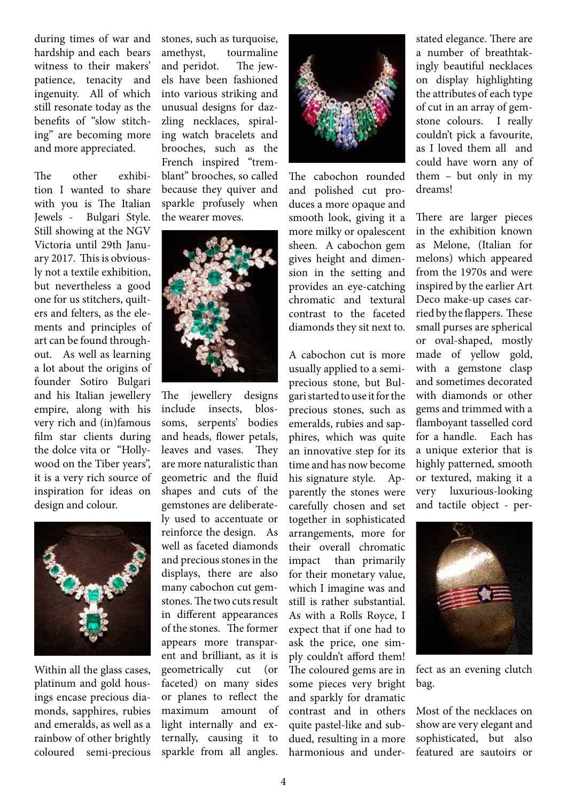during times of war and hardship and each bears witness to their makers' patience, tenacity and ingenuity. All of which still resonate today as the benefits of "slow stitching" are becoming more and more appreciated.

The other exhibition I wanted to share with you is The Italian Jewels - Bulgari Style. Still showing at the NGV Victoria until 29th January 2017. This is obviously not a textile exhibition, but nevertheless a good one for us stitchers, quilters and felters, as the elements and principles of art can be found throughout. As well as learning a lot about the origins of founder Sotiro Bulgari and his Italian jewellery empire, along with his very rich and (in)famous film star clients during the dolce vita or "Hollywood on the Tiber years", it is a very rich source of inspiration for ideas on design and colour.



Within all the glass cases, platinum and gold housings encase precious diamonds, sapphires, rubies and emeralds, as well as a rainbow of other brightly coloured semi-precious stones, such as turquoise, amethyst, tourmaline and peridot. The jewels have been fashioned into various striking and unusual designs for dazzling necklaces, spiraling watch bracelets and brooches, such as the French inspired "tremblant" brooches, so called because they quiver and sparkle profusely when the wearer moves.



The jewellery designs include insects, blossoms, serpents' bodies and heads, flower petals, leaves and vases. They are more naturalistic than geometric and the fluid shapes and cuts of the gemstones are deliberately used to accentuate or reinforce the design. As well as faceted diamonds and precious stones in the displays, there are also many cabochon cut gemstones. The two cuts result in different appearances of the stones. The former appears more transparent and brilliant, as it is geometrically cut (or faceted) on many sides or planes to reflect the maximum amount of light internally and externally, causing it to sparkle from all angles.



The cabochon rounded and polished cut produces a more opaque and smooth look, giving it a more milky or opalescent sheen. A cabochon gem gives height and dimension in the setting and provides an eye-catching chromatic and textural contrast to the faceted diamonds they sit next to.

A cabochon cut is more usually applied to a semiprecious stone, but Bulgari started to use it for the precious stones, such as emeralds, rubies and sapphires, which was quite an innovative step for its time and has now become his signature style. Apparently the stones were carefully chosen and set together in sophisticated arrangements, more for their overall chromatic impact than primarily for their monetary value, which I imagine was and still is rather substantial. As with a Rolls Royce, I expect that if one had to ask the price, one simply couldn't afford them! The coloured gems are in some pieces very bright and sparkly for dramatic contrast and in others quite pastel-like and subdued, resulting in a more harmonious and understated elegance. There are a number of breathtakingly beautiful necklaces on display highlighting the attributes of each type of cut in an array of gemstone colours. I really couldn't pick a favourite, as I loved them all and could have worn any of them – but only in my dreams!

There are larger pieces in the exhibition known as Melone, (Italian for melons) which appeared from the 1970s and were inspired by the earlier Art Deco make-up cases carried by the flappers. These small purses are spherical or oval-shaped, mostly made of yellow gold, with a gemstone clasp and sometimes decorated with diamonds or other gems and trimmed with a flamboyant tasselled cord for a handle. Each has a unique exterior that is highly patterned, smooth or textured, making it a very luxurious-looking and tactile object - per-



fect as an evening clutch bag.

Most of the necklaces on show are very elegant and sophisticated, but also featured are sautoirs or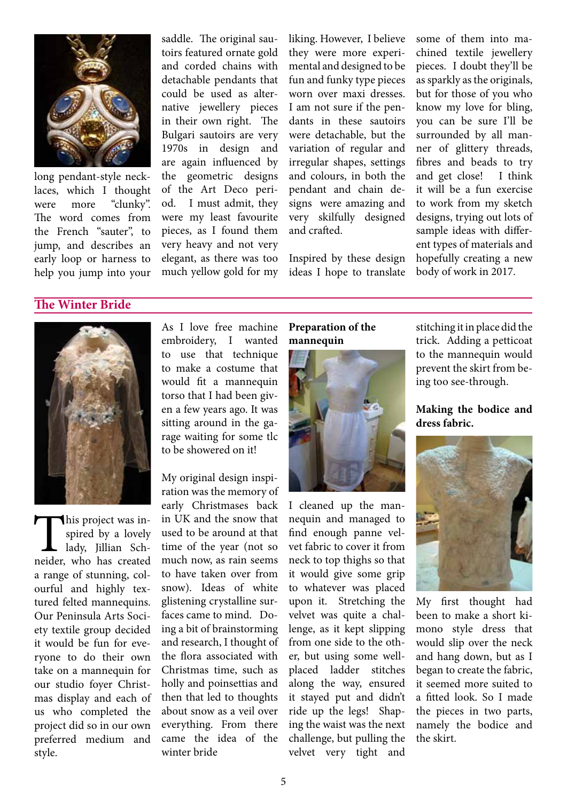

long pendant-style necklaces, which I thought were more "clunky". The word comes from the French "sauter", to jump, and describes an early loop or harness to help you jump into your

saddle. The original sautoirs featured ornate gold and corded chains with detachable pendants that could be used as alternative jewellery pieces in their own right. The Bulgari sautoirs are very 1970s in design and are again influenced by the geometric designs of the Art Deco period. I must admit, they were my least favourite pieces, as I found them very heavy and not very elegant, as there was too much yellow gold for my liking. However, I believe they were more experimental and designed to be fun and funky type pieces worn over maxi dresses. I am not sure if the pendants in these sautoirs were detachable, but the variation of regular and irregular shapes, settings and colours, in both the pendant and chain designs were amazing and very skilfully designed and crafted.

Inspired by these design ideas I hope to translate some of them into machined textile jewellery pieces. I doubt they'll be as sparkly as the originals, but for those of you who know my love for bling, you can be sure I'll be surrounded by all manner of glittery threads, fibres and beads to try and get close! I think it will be a fun exercise to work from my sketch designs, trying out lots of sample ideas with different types of materials and hopefully creating a new body of work in 2017.

# **The Winter Bride**



This project was in-<br>spired by a lovely<br>lady, Jillian Sch-<br>neider, who has created spired by a lovely lady, Jillian Scha range of stunning, colourful and highly textured felted mannequins. Our Peninsula Arts Society textile group decided it would be fun for everyone to do their own take on a mannequin for our studio foyer Christmas display and each of us who completed the project did so in our own preferred medium and style.

As I love free machine embroidery, I wanted to use that technique to make a costume that would fit a mannequin torso that I had been given a few years ago. It was sitting around in the garage waiting for some tlc to be showered on it!

My original design inspiration was the memory of early Christmases back in UK and the snow that used to be around at that time of the year (not so much now, as rain seems to have taken over from snow). Ideas of white glistening crystalline surfaces came to mind. Doing a bit of brainstorming and research, I thought of the flora associated with Christmas time, such as holly and poinsettias and then that led to thoughts about snow as a veil over everything. From there came the idea of the winter bride

## **Preparation of the mannequin**



I cleaned up the mannequin and managed to find enough panne velvet fabric to cover it from neck to top thighs so that it would give some grip to whatever was placed upon it. Stretching the velvet was quite a challenge, as it kept slipping from one side to the other, but using some wellplaced ladder stitches along the way, ensured it stayed put and didn't ride up the legs! Shaping the waist was the next challenge, but pulling the velvet very tight and

stitching it in place did the trick. Adding a petticoat to the mannequin would prevent the skirt from being too see-through.

## **Making the bodice and dress fabric.**



My first thought had been to make a short kimono style dress that would slip over the neck and hang down, but as I began to create the fabric, it seemed more suited to a fitted look. So I made the pieces in two parts, namely the bodice and the skirt.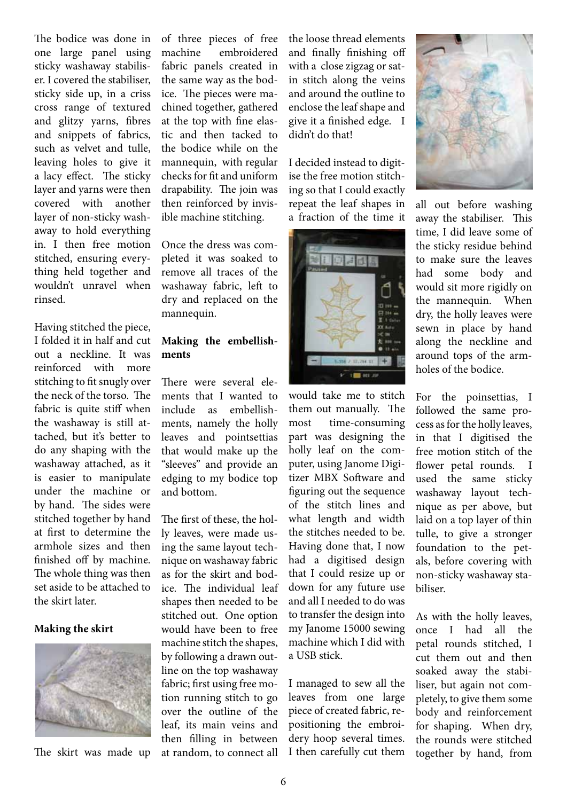The bodice was done in one large panel using sticky washaway stabiliser. I covered the stabiliser, sticky side up, in a criss cross range of textured and glitzy yarns, fibres and snippets of fabrics, such as velvet and tulle, leaving holes to give it a lacy effect. The sticky layer and yarns were then covered with another layer of non-sticky washaway to hold everything in. I then free motion stitched, ensuring everything held together and wouldn't unravel when rinsed.

Having stitched the piece, I folded it in half and cut out a neckline. It was reinforced with more stitching to fit snugly over the neck of the torso. The fabric is quite stiff when the washaway is still attached, but it's better to do any shaping with the washaway attached, as it is easier to manipulate under the machine or by hand. The sides were stitched together by hand at first to determine the armhole sizes and then finished off by machine. The whole thing was then set aside to be attached to the skirt later.

#### **Making the skirt**



The skirt was made up

of three pieces of free machine embroidered fabric panels created in the same way as the bodice. The pieces were machined together, gathered at the top with fine elastic and then tacked to the bodice while on the mannequin, with regular checks for fit and uniform drapability. The join was then reinforced by invisible machine stitching.

Once the dress was completed it was soaked to remove all traces of the washaway fabric, left to dry and replaced on the mannequin.

## **Making the embellishments**

There were several elements that I wanted to include as embellishments, namely the holly leaves and pointsettias that would make up the "sleeves" and provide an edging to my bodice top and bottom.

The first of these, the holly leaves, were made using the same layout technique on washaway fabric as for the skirt and bodice. The individual leaf shapes then needed to be stitched out. One option would have been to free machine stitch the shapes, by following a drawn outline on the top washaway fabric; first using free motion running stitch to go over the outline of the leaf, its main veins and then filling in between at random, to connect all

the loose thread elements and finally finishing off with a close zigzag or satin stitch along the veins and around the outline to enclose the leaf shape and give it a finished edge. I didn't do that!

I decided instead to digitise the free motion stitching so that I could exactly repeat the leaf shapes in a fraction of the time it



would take me to stitch them out manually. The most time-consuming part was designing the holly leaf on the computer, using Janome Digitizer MBX Software and figuring out the sequence of the stitch lines and what length and width the stitches needed to be. Having done that, I now had a digitised design that I could resize up or down for any future use and all I needed to do was to transfer the design into my Janome 15000 sewing machine which I did with a USB stick.

I managed to sew all the leaves from one large piece of created fabric, repositioning the embroidery hoop several times. I then carefully cut them



all out before washing away the stabiliser. This time, I did leave some of the sticky residue behind to make sure the leaves had some body and would sit more rigidly on the mannequin. When dry, the holly leaves were sewn in place by hand along the neckline and around tops of the armholes of the bodice.

For the poinsettias, I followed the same process asforthe holly leaves, in that I digitised the free motion stitch of the flower petal rounds. I used the same sticky washaway layout technique as per above, but laid on a top layer of thin tulle, to give a stronger foundation to the petals, before covering with non-sticky washaway stabiliser.

As with the holly leaves, once I had all the petal rounds stitched, I cut them out and then soaked away the stabiliser, but again not completely, to give them some body and reinforcement for shaping. When dry, the rounds were stitched together by hand, from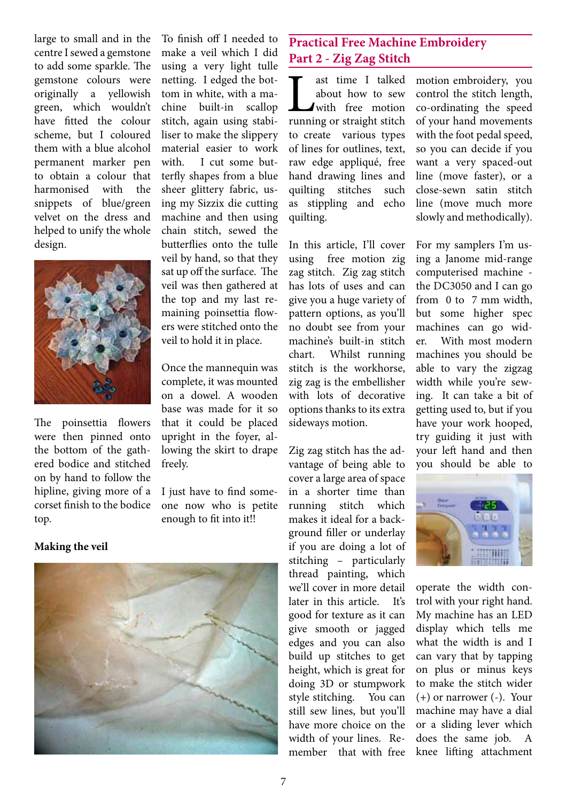large to small and in the centre Isewed a gemstone to add some sparkle. The gemstone colours were originally a yellowish green, which wouldn't have fitted the colour scheme, but I coloured them with a blue alcohol permanent marker pen to obtain a colour that harmonised with the snippets of blue/green velvet on the dress and helped to unify the whole design.



The poinsettia flowers were then pinned onto the bottom of the gathered bodice and stitched on by hand to follow the hipline, giving more of a corset finish to the bodice top.

To finish off I needed to make a veil which I did using a very light tulle netting. I edged the bottom in white, with a machine built-in scallop stitch, again using stabiliser to make the slippery material easier to work with. I cut some butterfly shapes from a blue sheer glittery fabric, using my Sizzix die cutting machine and then using chain stitch, sewed the butterflies onto the tulle veil by hand, so that they sat up off the surface. The veil was then gathered at the top and my last remaining poinsettia flowers were stitched onto the veil to hold it in place.

Once the mannequin was complete, it was mounted on a dowel. A wooden base was made for it so that it could be placed upright in the foyer, allowing the skirt to drape freely.

I just have to find someone now who is petite enough to fit into it!!

## **Making the veil**



# **Practical Free Machine Embroidery Part 2 - Zig Zag Stitch**

ast time I talked<br>about how to sew<br>running or straight stitch about how to sew with free motion to create various types of lines for outlines, text, raw edge appliqué, free hand drawing lines and quilting stitches such as stippling and echo quilting.

In this article, I'll cover using free motion zig zag stitch. Zig zag stitch has lots of uses and can give you a huge variety of pattern options, as you'll no doubt see from your machine's built-in stitch chart. Whilst running stitch is the workhorse, zig zag is the embellisher with lots of decorative options thanks to its extra sideways motion.

Zig zag stitch has the advantage of being able to cover a large area of space in a shorter time than running stitch which makes it ideal for a background filler or underlay if you are doing a lot of stitching – particularly thread painting, which we'll cover in more detail later in this article. It's good for texture as it can give smooth or jagged edges and you can also build up stitches to get height, which is great for doing 3D or stumpwork style stitching. You can still sew lines, but you'll have more choice on the width of your lines. Remember that with free motion embroidery, you control the stitch length, co-ordinating the speed of your hand movements with the foot pedal speed, so you can decide if you want a very spaced-out line (move faster), or a close-sewn satin stitch line (move much more slowly and methodically).

For my samplers I'm using a Janome mid-range computerised machine the DC3050 and I can go from 0 to 7 mm width, but some higher spec machines can go wider. With most modern machines you should be able to vary the zigzag width while you're sewing. It can take a bit of getting used to, but if you have your work hooped, try guiding it just with your left hand and then you should be able to



operate the width control with your right hand. My machine has an LED display which tells me what the width is and I can vary that by tapping on plus or minus keys to make the stitch wider (+) or narrower (-). Your machine may have a dial or a sliding lever which does the same job. A knee lifting attachment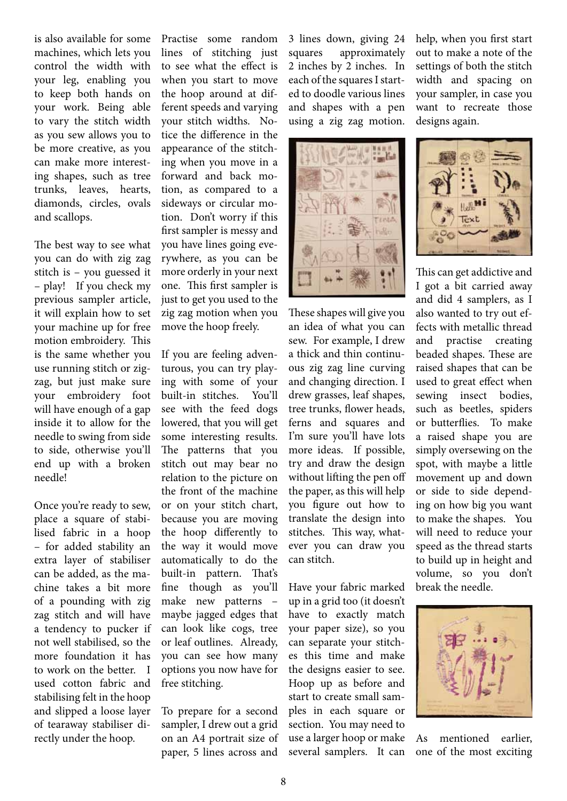is also available for some machines, which lets you control the width with your leg, enabling you to keep both hands on your work. Being able to vary the stitch width as you sew allows you to be more creative, as you can make more interesting shapes, such as tree trunks, leaves, hearts, diamonds, circles, ovals and scallops.

The best way to see what you can do with zig zag stitch is – you guessed it – play! If you check my previous sampler article, it will explain how to set your machine up for free motion embroidery. This is the same whether you use running stitch or zigzag, but just make sure your embroidery foot will have enough of a gap inside it to allow for the needle to swing from side to side, otherwise you'll end up with a broken needle!

Once you're ready to sew, place a square of stabilised fabric in a hoop – for added stability an extra layer of stabiliser can be added, as the machine takes a bit more of a pounding with zig zag stitch and will have a tendency to pucker if not well stabilised, so the more foundation it has to work on the better. I used cotton fabric and stabilising felt in the hoop and slipped a loose layer of tearaway stabiliser directly under the hoop.

Practise some random lines of stitching just to see what the effect is when you start to move the hoop around at different speeds and varying your stitch widths. Notice the difference in the appearance of the stitching when you move in a forward and back motion, as compared to a sideways or circular motion. Don't worry if this first sampler is messy and you have lines going everywhere, as you can be more orderly in your next one. This first sampler is just to get you used to the zig zag motion when you move the hoop freely.

If you are feeling adventurous, you can try playing with some of your built-in stitches. You'll see with the feed dogs lowered, that you will get some interesting results. The patterns that you stitch out may bear no relation to the picture on the front of the machine or on your stitch chart, because you are moving the hoop differently to the way it would move automatically to do the built-in pattern. That's fine though as you'll make new patterns – maybe jagged edges that can look like cogs, tree or leaf outlines. Already, you can see how many options you now have for free stitching.

To prepare for a second sampler, I drew out a grid on an A4 portrait size of paper, 5 lines across and 3 lines down, giving 24 squares approximately 2 inches by 2 inches. In each of the squares I started to doodle various lines and shapes with a pen using a zig zag motion.



These shapes will give you an idea of what you can sew. For example, I drew a thick and thin continuous zig zag line curving and changing direction. I drew grasses, leaf shapes, tree trunks, flower heads, ferns and squares and I'm sure you'll have lots more ideas. If possible, try and draw the design without lifting the pen off the paper, as this will help you figure out how to translate the design into stitches. This way, whatever you can draw you can stitch.

Have your fabric marked up in a grid too (it doesn't have to exactly match your paper size), so you can separate your stitches this time and make the designs easier to see. Hoop up as before and start to create small samples in each square or section. You may need to use a larger hoop or make several samplers. It can

help, when you first start out to make a note of the settings of both the stitch width and spacing on your sampler, in case you want to recreate those designs again.



This can get addictive and I got a bit carried away and did 4 samplers, as I also wanted to try out effects with metallic thread and practise creating beaded shapes. These are raised shapes that can be used to great effect when sewing insect bodies, such as beetles, spiders or butterflies. To make a raised shape you are simply oversewing on the spot, with maybe a little movement up and down or side to side depending on how big you want to make the shapes. You will need to reduce your speed as the thread starts to build up in height and volume, so you don't break the needle.



As mentioned earlier, one of the most exciting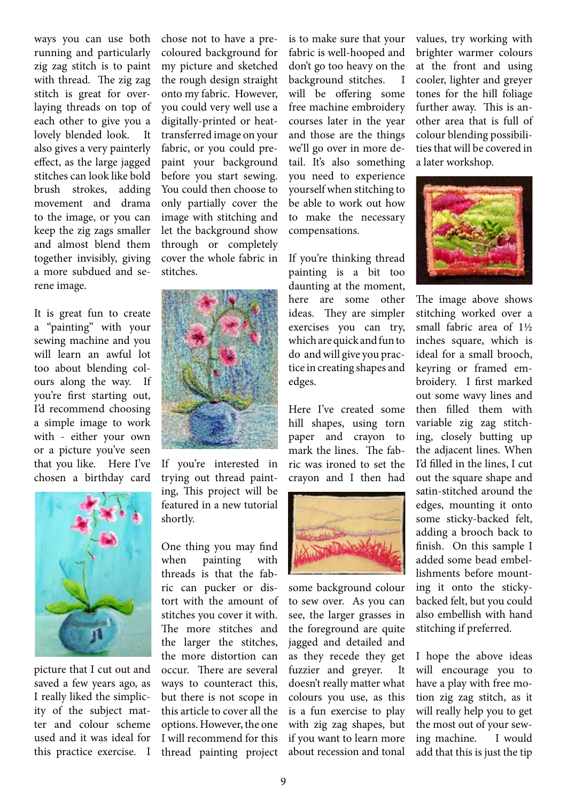ways you can use both running and particularly zig zag stitch is to paint with thread. The zig zag stitch is great for overlaying threads on top of each other to give you a lovely blended look. It also gives a very painterly effect, as the large jagged stitches can look like bold brush strokes, adding movement and drama to the image, or you can keep the zig zags smaller and almost blend them together invisibly, giving a more subdued and serene image.

It is great fun to create a "painting" with your sewing machine and you will learn an awful lot too about blending colours along the way. If you're first starting out, I'd recommend choosing a simple image to work with - either your own or a picture you've seen that you like. Here I've chosen a birthday card



picture that I cut out and saved a few years ago, as I really liked the simplicity of the subject matter and colour scheme used and it was ideal for this practice exercise. I chose not to have a precoloured background for my picture and sketched the rough design straight onto my fabric. However, you could very well use a digitally-printed or heattransferred image on your fabric, or you could prepaint your background before you start sewing. You could then choose to only partially cover the image with stitching and let the background show through or completely cover the whole fabric in stitches.



If you're interested in trying out thread painting, This project will be featured in a new tutorial shortly.

One thing you may find when painting with threads is that the fabric can pucker or distort with the amount of stitches you cover it with. The more stitches and the larger the stitches, the more distortion can occur. There are several ways to counteract this, but there is not scope in this article to cover all the options. However, the one I will recommend for this thread painting project is to make sure that your fabric is well-hooped and don't go too heavy on the background stitches. I will be offering some free machine embroidery courses later in the year and those are the things we'll go over in more detail. It's also something you need to experience yourself when stitching to be able to work out how to make the necessary compensations.

If you're thinking thread painting is a bit too daunting at the moment, here are some other ideas. They are simpler exercises you can try, which are quick and fun to do andwill give you practice in creating shapes and edges.

Here I've created some hill shapes, using torn paper and crayon to mark the lines. The fabric was ironed to set the crayon and I then had



some background colour to sew over. As you can see, the larger grasses in the foreground are quite jagged and detailed and as they recede they get fuzzier and greyer. It doesn't really matter what colours you use, as this is a fun exercise to play with zig zag shapes, but if you want to learn more about recession and tonal values, try working with brighter warmer colours at the front and using cooler, lighter and greyer tones for the hill foliage further away. This is another area that is full of colour blending possibilities that will be covered in a later workshop.



The image above shows stitching worked over a small fabric area of 1½ inches square, which is ideal for a small brooch, keyring or framed embroidery. I first marked out some wavy lines and then filled them with variable zig zag stitching, closely butting up the adjacent lines. When I'd filled in the lines, I cut out the square shape and satin-stitched around the edges, mounting it onto some sticky-backed felt, adding a brooch back to finish. On this sample I added some bead embellishments before mounting it onto the stickybacked felt, but you could also embellish with hand stitching if preferred.

I hope the above ideas will encourage you to have a play with free motion zig zag stitch, as it will really help you to get the most out of your sewing machine. I would add that this is just the tip